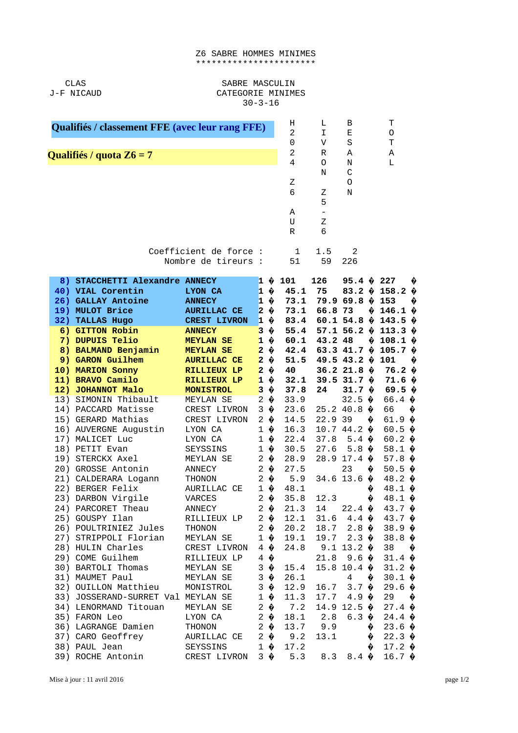## Z6 SABRE HOMMES MINIMES \*\*\*\*\*\*\*\*\*\*\*\*\*\*\*\*\*\*\*\*\*\*\*

**CLAS** J-F NICAUD

## SABRE MASCULIN CATEGORIE MINIMES  $30 - 3 - 16$

| Qualifiés / classement FFE (avec leur rang FFE) |                         |                                                                                                                                                                                                                                                                                                                                                                                                                          |                                                                                                                                                                                                                                                                            |                                                                                                                                                                                                                                                                                              |                                                                                                                                                                                          | L<br>I<br>V                                                                                                                                      | B<br>E<br>$\mathsf S$                                                                                                                                                                                   | Τ<br>0<br>T                                       |                                                                                                                                                                                                                                                                                                                                                                                       |        |
|-------------------------------------------------|-------------------------|--------------------------------------------------------------------------------------------------------------------------------------------------------------------------------------------------------------------------------------------------------------------------------------------------------------------------------------------------------------------------------------------------------------------------|----------------------------------------------------------------------------------------------------------------------------------------------------------------------------------------------------------------------------------------------------------------------------|----------------------------------------------------------------------------------------------------------------------------------------------------------------------------------------------------------------------------------------------------------------------------------------------|------------------------------------------------------------------------------------------------------------------------------------------------------------------------------------------|--------------------------------------------------------------------------------------------------------------------------------------------------|---------------------------------------------------------------------------------------------------------------------------------------------------------------------------------------------------------|---------------------------------------------------|---------------------------------------------------------------------------------------------------------------------------------------------------------------------------------------------------------------------------------------------------------------------------------------------------------------------------------------------------------------------------------------|--------|
|                                                 |                         | Qualifiés / quota Z6 = 7                                                                                                                                                                                                                                                                                                                                                                                                 | 0<br>$\overline{2}$                                                                                                                                                                                                                                                        | R                                                                                                                                                                                                                                                                                            | A                                                                                                                                                                                        |                                                                                                                                                  | Α                                                                                                                                                                                                       |                                                   |                                                                                                                                                                                                                                                                                                                                                                                       |        |
|                                                 |                         |                                                                                                                                                                                                                                                                                                                                                                                                                          |                                                                                                                                                                                                                                                                            |                                                                                                                                                                                                                                                                                              | 4<br>Z<br>6<br>Α<br>U<br>R                                                                                                                                                               | 0<br>N<br>Ζ<br>5<br>$\overline{\phantom{a}}$<br>Z<br>6                                                                                           | N<br>$\mathsf C$<br>0<br>N                                                                                                                                                                              |                                                   | L                                                                                                                                                                                                                                                                                                                                                                                     |        |
|                                                 |                         |                                                                                                                                                                                                                                                                                                                                                                                                                          | Coefficient de force :<br>Nombre de tireurs :                                                                                                                                                                                                                              |                                                                                                                                                                                                                                                                                              | $\mathbf{1}$<br>51                                                                                                                                                                       | 1.5<br>59                                                                                                                                        | 2<br>226                                                                                                                                                                                                |                                                   |                                                                                                                                                                                                                                                                                                                                                                                       |        |
|                                                 | 8)<br>26)<br>19)<br>32) | STACCHETTI Alexandre ANNECY<br>40) VIAL Corentin<br><b>GALLAY Antoine</b><br><b>MULOT Brice</b><br><b>TALLAS Hugo</b>                                                                                                                                                                                                                                                                                                    | <b>LYON CA</b><br><b>ANNECY</b><br><b>AURILLAC CE</b><br><b>CREST LIVRON</b>                                                                                                                                                                                               | $\mathbf{1}$<br>$\mathbf{1}$<br>$\overline{2}$<br>♦<br>$\mathbf{1}$                                                                                                                                                                                                                          | $1 \; 0 \; 101$<br>45.1<br>♦<br>73.1<br>♦<br>73.1<br>♦<br>83.4                                                                                                                           | 126<br>75<br>66.8 73                                                                                                                             | 95.4 $\hat{9}$ 227<br>79.969.8 <sub>9</sub><br>60.1 54.8 $\hat{Q}$                                                                                                                                      | ♦                                                 | 83.2 $\hat{\phi}$ 158.2 $\hat{\phi}$<br>153<br>146.1 $\hat{\theta}$<br>143.5 $\hat{\theta}$                                                                                                                                                                                                                                                                                           | ♦<br>♦ |
|                                                 |                         | 6) GITTON Robin<br>7) DUPUIS Telio<br>8) BALMAND Benjamin<br>9) GARON Guilhem<br>10) MARION Sonny<br>11) BRAVO Camilo<br>12) JOHANNOT Malo                                                                                                                                                                                                                                                                               | <b>ANNECY</b><br><b>MEYLAN SE</b><br><b>MEYLAN SE</b><br><b>AURILLAC CE</b><br><b>RILLIEUX LP</b><br><b>RILLIEUX LP</b><br><b>MONISTROL</b>                                                                                                                                | 3<br>♦<br>$\mathbf{1}$<br>$\overline{2}$<br>$\overline{2}$<br>♦<br>♦<br>$\overline{2}$<br>$\mathbf{1}$<br>3                                                                                                                                                                                  | 55.4<br>♦<br>60.1<br>♦<br>40<br>♦<br>32.1<br>♦<br>37.8                                                                                                                                   | 43.2 48<br>51.5 49.5 43.2 $\hat{\phi}$<br>24                                                                                                     | $57.1$ 56.2 $\theta$<br>36.2 21.8 $\hat{\theta}$<br>39.5 31.7 $\hat{\theta}$<br>31.7 $\hat{Q}$                                                                                                          |                                                   | 113.3 $\hat{\theta}$<br>9108.19<br>42.4 63.3 41.7 $\hat{\phi}$ 105.7 $\hat{\phi}$<br>101<br>76.2 ♦<br>71.6%<br>69.5 $\theta$                                                                                                                                                                                                                                                          | ♦      |
|                                                 |                         | 13) SIMONIN Thibault<br>14) PACCARD Matisse<br>15) GERARD Mathias<br>16) AUVERGNE Augustin<br>17) MALICET Luc<br>18) PETIT Evan<br>19) STERCKX Axel<br>20) GROSSE Antonin<br>21) CALDERARA Logann<br>22) BERGER Felix<br>23) DARBON Virgile<br>24) PARCORET Theau<br>25) GOUSPY Ilan<br>26) POULTRINIEZ Jules<br>27) STRIPPOLI Florian<br>28) HULIN Charles<br>29) COME Guilhem<br>30) BARTOLI Thomas<br>31) MAUMET Paul | MEYLAN SE<br>CREST LIVRON<br>CREST LIVRON<br>LYON CA<br>LYON CA<br><b>SEYSSINS</b><br>MEYLAN SE<br>ANNECY<br><b>THONON</b><br>AURILLAC CE<br><b>VARCES</b><br>ANNECY<br>RILLIEUX LP<br><b>THONON</b><br>MEYLAN SE<br>CREST LIVRON<br>RILLIEUX LP<br>MEYLAN SE<br>MEYLAN SE | $\overline{2}$<br>♦<br>3<br>♦<br>$\overline{2}$<br>$\mathbf{1}$<br>♦<br>$\mathbf{1}$<br>$\mathbf{1}$<br>$2 \; \phi$<br>$2 \; \phi$<br>$\overline{2}$<br>$\mathbf{1}$<br>$\overline{2}$<br>♦<br>$2 \; \phi$<br>$2 \Theta$<br>$2 \; \hat{\mathbf{\Theta}}$<br>$1 \; \circ$<br>4<br>4<br>3<br>3 | 33.9<br>23.6<br>♦<br>14.5<br>16.3<br>♦<br>22.4<br>♦<br>30.5<br>28.9<br>27.5<br>♦<br>5.9<br>♦<br>48.1<br>35.8<br>21.3<br>12.1<br>20.2<br>19.1<br>♦<br>24.8<br>♦<br>♦<br>15.4<br>♦<br>26.1 | 25.2 40.8<br>22.9 39<br>10.7 44.2<br>37.8<br>27.6<br>34.6 13.6<br>12.3<br>14<br>31.6<br>18.7<br>19.7<br>9.1 13.2 $\hat{\mathbf{\Theta}}$<br>21.8 | 32.5 $\phi$<br>$5.4 \; \circ$<br>5.8<br>28.9 17.4 $\phi$<br>23<br>22.4 $\hat{\mathbf{Q}}$<br>$4.4 \; \circ$<br>2.8 $\hat{\mathbf{\Theta}}$<br>$2.3 \; \phi$<br>9.6 $\bullet$<br>$15.8$ 10.4 $\phi$<br>4 | ♦<br>♦<br>♦<br>$\bullet$<br>♦<br>♦<br>♦<br>♦<br>♦ | 66.4 ♦<br>66<br>61.9 $\oint$<br>60.5 $\hat{\mathbf{v}}$<br>60.2 $\phi$<br>58.1 $\phi$<br>57.8 $\hat{\mathbf{\Theta}}$<br>50.5 $\hat{\mathbf{v}}$<br>48.2 $\hat{\mathbf{\Theta}}$<br>48.1 $\hat{\mathbf{\Theta}}$<br>$48.1 \; \phi$<br>43.7 $\phi$<br>43.7 $\hat{\mathbf{\Theta}}$<br>38.9%<br>38.8 $\hat{\mathbf{\Theta}}$<br>38<br>$31.4 \; \circ$<br>31.2 $\oint$<br>$30.1 \; \phi$ | ♦<br>♦ |
|                                                 |                         | 32) OUILLON Matthieu<br>33) JOSSERAND-SURRET Val MEYLAN SE<br>34) LENORMAND Titouan<br>35) FARON Leo<br>36) LAGRANGE Damien<br>37) CARO Geoffrey<br>38) PAUL Jean<br>39) ROCHE Antonin                                                                                                                                                                                                                                   | MONISTROL<br>MEYLAN SE<br>LYON CA<br><b>THONON</b><br>AURILLAC CE<br>SEYSSINS<br>CREST LIVRON                                                                                                                                                                              | 3<br>$\mathbf{1}$<br>$\overline{2}$<br>$\overline{2}$<br>♦<br>$2^{\circ}$<br>♦<br>$\overline{2}$<br>♦<br>$1 \; \hat{\mathbf{v}}$                                                                                                                                                             | ♦<br>12.9<br>♦<br>11.3<br>♦<br>7.2<br>18.1<br>13.7<br>9.2<br>17.2<br>$3 \; \phi$<br>5.3                                                                                                  | 16.7<br>17.7<br>2.8<br>9.9<br>13.1<br>8.3                                                                                                        | 3.7 $\hat{\mathbf{v}}$<br>4.9 $\hat{\mathbf{Q}}$<br>14.9 12.5 $\hat{\mathbf{\Theta}}$<br>$6.3 \; \phi$<br>8.4 $\hat{\mathbf{\Theta}}$                                                                   | ♦<br>♦                                            | 29.6 $\oint$<br>29<br>$27.4 \; \circ$<br>24.4 $\hat{\mathbf{Q}}$<br>23.6%<br>22.3 $\phi$<br>17.2 $\phi$<br>16.7 $\hat{\mathbf{V}}$                                                                                                                                                                                                                                                    | ♦      |